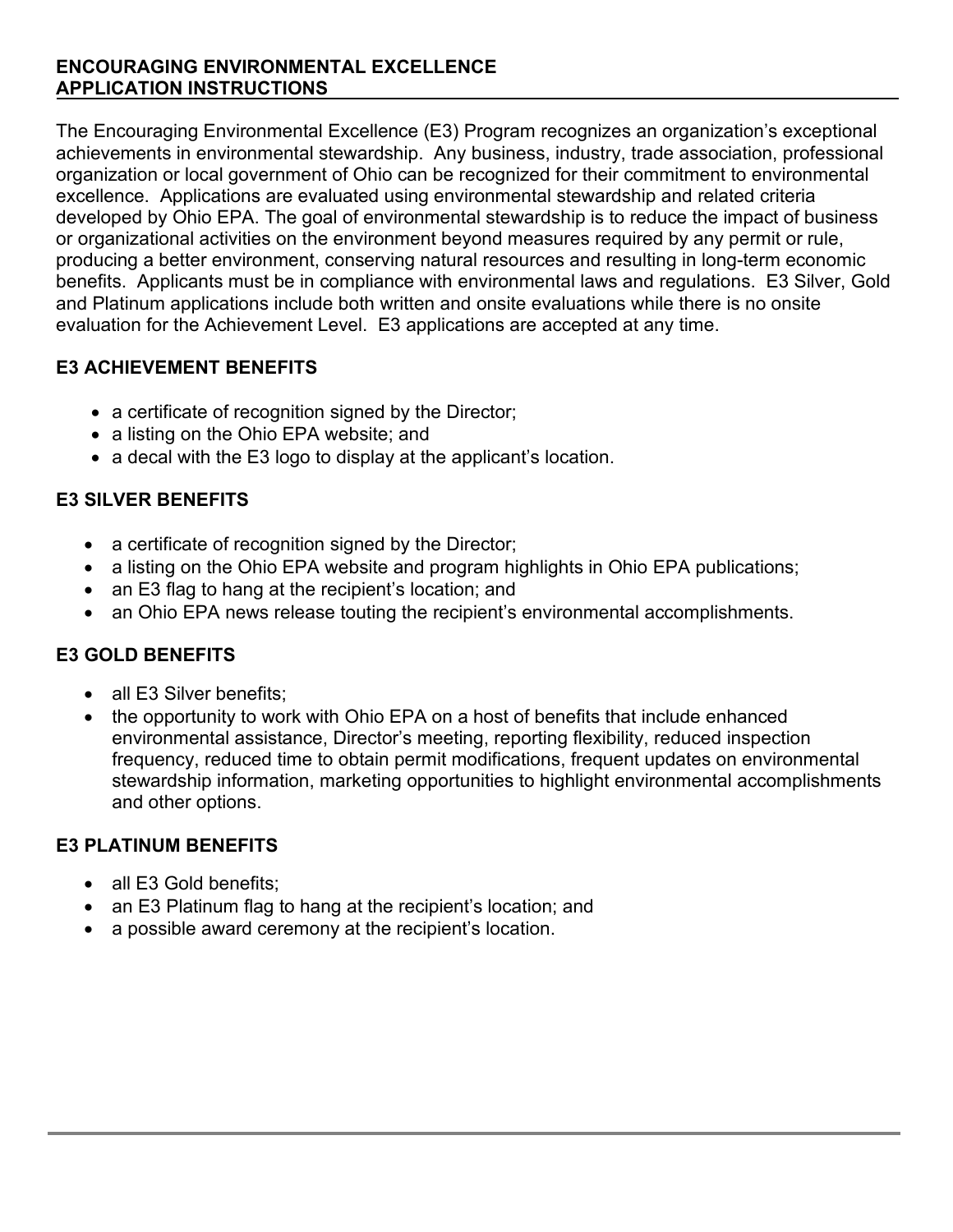#### **ENCOURAGING ENVIRONMENTAL EXCELLENCE APPLICATION INSTRUCTIONS**

The Encouraging Environmental Excellence (E3) Program recognizes an organization's exceptional achievements in environmental stewardship. Any business, industry, trade association, professional organization or local government of Ohio can be recognized for their commitment to environmental excellence. Applications are evaluated using environmental stewardship and related criteria developed by Ohio EPA. The goal of environmental stewardship is to reduce the impact of business or organizational activities on the environment beyond measures required by any permit or rule, producing a better environment, conserving natural resources and resulting in long-term economic benefits. Applicants must be in compliance with environmental laws and regulations. E3 Silver, Gold and Platinum applications include both written and onsite evaluations while there is no onsite evaluation for the Achievement Level. E3 applications are accepted at any time.

# **E3 ACHIEVEMENT BENEFITS**

- a certificate of recognition signed by the Director;
- a listing on the Ohio EPA website; and
- a decal with the E3 logo to display at the applicant's location.

# **E3 SILVER BENEFITS**

- a certificate of recognition signed by the Director;
- a listing on the Ohio EPA website and program highlights in Ohio EPA publications;
- an E3 flag to hang at the recipient's location; and
- an Ohio EPA news release touting the recipient's environmental accomplishments.

# **E3 GOLD BENEFITS**

- all E3 Silver benefits:
- the opportunity to work with Ohio EPA on a host of benefits that include enhanced environmental assistance, Director's meeting, reporting flexibility, reduced inspection frequency, reduced time to obtain permit modifications, frequent updates on environmental stewardship information, marketing opportunities to highlight environmental accomplishments and other options.

## **E3 PLATINUM BENEFITS**

- all E3 Gold benefits:
- an E3 Platinum flag to hang at the recipient's location; and
- a possible award ceremony at the recipient's location.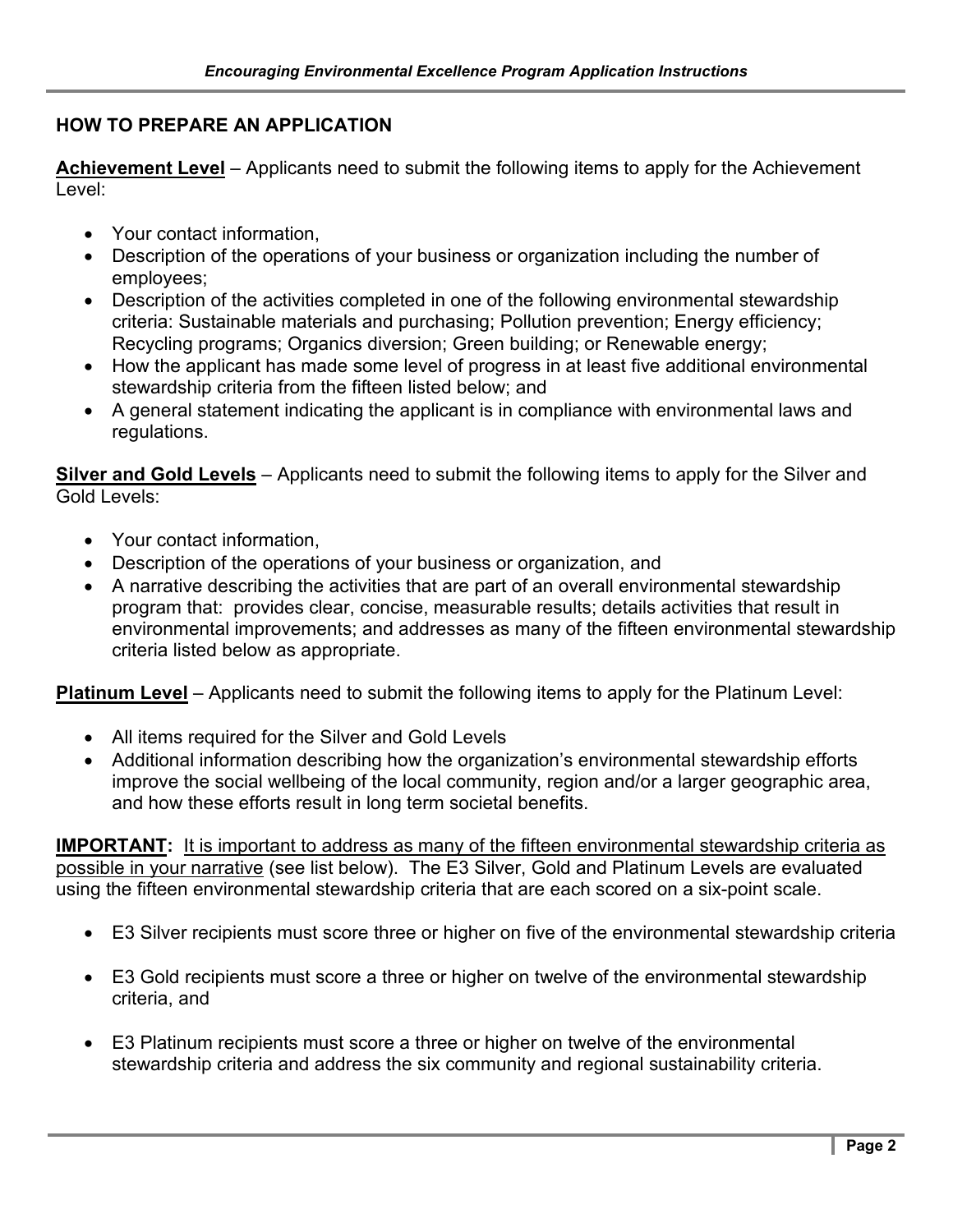#### **HOW TO PREPARE AN APPLICATION**

**Achievement Level** – Applicants need to submit the following items to apply for the Achievement Level:

- Your contact information,
- Description of the operations of your business or organization including the number of employees;
- Description of the activities completed in one of the following environmental stewardship criteria: Sustainable materials and purchasing; Pollution prevention; Energy efficiency; Recycling programs; Organics diversion; Green building; or Renewable energy;
- How the applicant has made some level of progress in at least five additional environmental stewardship criteria from the fifteen listed below; and
- A general statement indicating the applicant is in compliance with environmental laws and regulations.

**Silver and Gold Levels** – Applicants need to submit the following items to apply for the Silver and Gold Levels:

- Your contact information,
- Description of the operations of your business or organization, and
- A narrative describing the activities that are part of an overall environmental stewardship program that: provides clear, concise, measurable results; details activities that result in environmental improvements; and addresses as many of the fifteen environmental stewardship criteria listed below as appropriate.

**Platinum Level** – Applicants need to submit the following items to apply for the Platinum Level:

- All items required for the Silver and Gold Levels
- Additional information describing how the organization's environmental stewardship efforts improve the social wellbeing of the local community, region and/or a larger geographic area, and how these efforts result in long term societal benefits.

**IMPORTANT:** It is important to address as many of the fifteen environmental stewardship criteria as possible in your narrative (see list below). The E3 Silver, Gold and Platinum Levels are evaluated using the fifteen environmental stewardship criteria that are each scored on a six-point scale.

- E3 Silver recipients must score three or higher on five of the environmental stewardship criteria
- E3 Gold recipients must score a three or higher on twelve of the environmental stewardship criteria, and
- E3 Platinum recipients must score a three or higher on twelve of the environmental stewardship criteria and address the six community and regional sustainability criteria.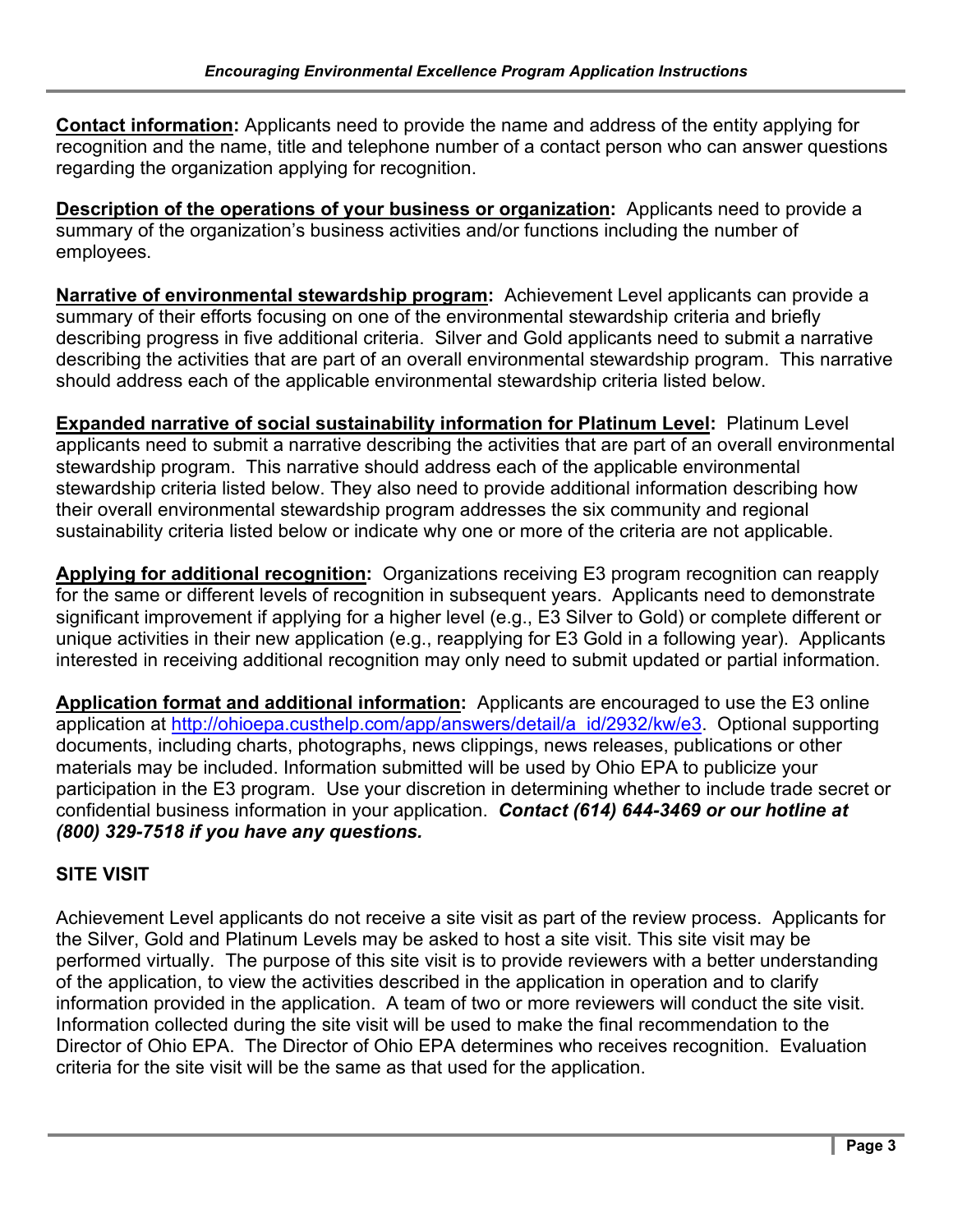**Contact information:** Applicants need to provide the name and address of the entity applying for recognition and the name, title and telephone number of a contact person who can answer questions regarding the organization applying for recognition.

**Description of the operations of your business or organization:** Applicants need to provide a summary of the organization's business activities and/or functions including the number of employees.

**Narrative of environmental stewardship program:** Achievement Level applicants can provide a summary of their efforts focusing on one of the environmental stewardship criteria and briefly describing progress in five additional criteria. Silver and Gold applicants need to submit a narrative describing the activities that are part of an overall environmental stewardship program. This narrative should address each of the applicable environmental stewardship criteria listed below.

**Expanded narrative of social sustainability information for Platinum Level:** Platinum Level applicants need to submit a narrative describing the activities that are part of an overall environmental stewardship program. This narrative should address each of the applicable environmental stewardship criteria listed below. They also need to provide additional information describing how their overall environmental stewardship program addresses the six community and regional sustainability criteria listed below or indicate why one or more of the criteria are not applicable.

**Applying for additional recognition:** Organizations receiving E3 program recognition can reapply for the same or different levels of recognition in subsequent years. Applicants need to demonstrate significant improvement if applying for a higher level (e.g., E3 Silver to Gold) or complete different or unique activities in their new application (e.g., reapplying for E3 Gold in a following year). Applicants interested in receiving additional recognition may only need to submit updated or partial information.

**Application format and additional information:** Applicants are encouraged to use the E3 online application at [http://ohioepa.custhelp.com/app/answers/detail/a\\_id/2932/kw/e3.](http://ohioepa.custhelp.com/app/answers/detail/a_id/2932/kw/e3) Optional supporting documents, including charts, photographs, news clippings, news releases, publications or other materials may be included. Information submitted will be used by Ohio EPA to publicize your participation in the E3 program. Use your discretion in determining whether to include trade secret or confidential business information in your application. *Contact (614) 644-3469 or our hotline at (800) 329-7518 if you have any questions.*

## **SITE VISIT**

Achievement Level applicants do not receive a site visit as part of the review process. Applicants for the Silver, Gold and Platinum Levels may be asked to host a site visit. This site visit may be performed virtually. The purpose of this site visit is to provide reviewers with a better understanding of the application, to view the activities described in the application in operation and to clarify information provided in the application. A team of two or more reviewers will conduct the site visit. Information collected during the site visit will be used to make the final recommendation to the Director of Ohio EPA. The Director of Ohio EPA determines who receives recognition. Evaluation criteria for the site visit will be the same as that used for the application.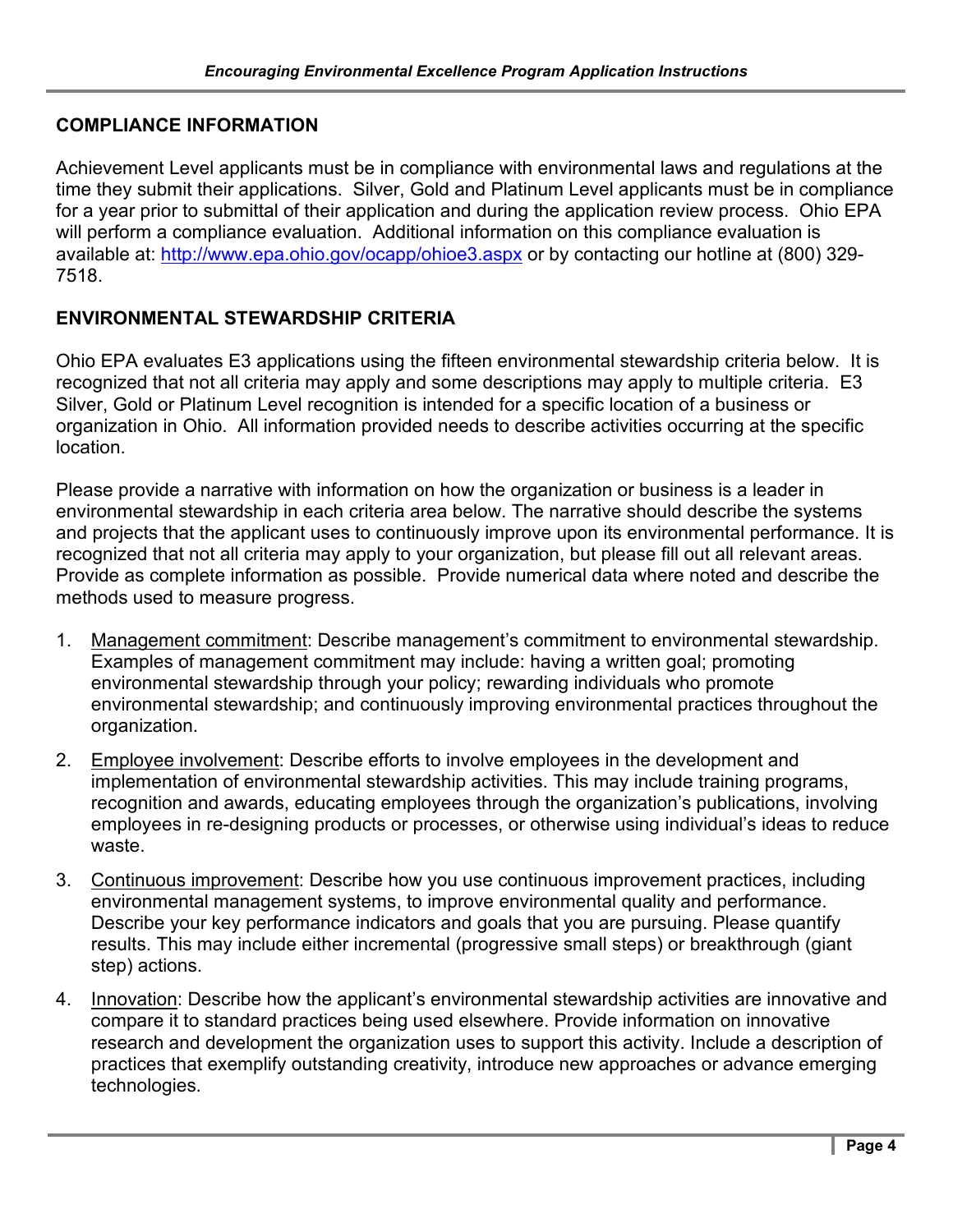#### **COMPLIANCE INFORMATION**

Achievement Level applicants must be in compliance with environmental laws and regulations at the time they submit their applications. Silver, Gold and Platinum Level applicants must be in compliance for a year prior to submittal of their application and during the application review process. Ohio EPA will perform a compliance evaluation. Additional information on this compliance evaluation is available at: <http://www.epa.ohio.gov/ocapp/ohioe3.aspx> or by contacting our hotline at (800) 329-7518.

#### **ENVIRONMENTAL STEWARDSHIP CRITERIA**

Ohio EPA evaluates E3 applications using the fifteen environmental stewardship criteria below. It is recognized that not all criteria may apply and some descriptions may apply to multiple criteria. E3 Silver, Gold or Platinum Level recognition is intended for a specific location of a business or organization in Ohio. All information provided needs to describe activities occurring at the specific location.

Please provide a narrative with information on how the organization or business is a leader in environmental stewardship in each criteria area below. The narrative should describe the systems and projects that the applicant uses to continuously improve upon its environmental performance. It is recognized that not all criteria may apply to your organization, but please fill out all relevant areas. Provide as complete information as possible. Provide numerical data where noted and describe the methods used to measure progress.

- 1. Management commitment: Describe management's commitment to environmental stewardship. Examples of management commitment may include: having a written goal; promoting environmental stewardship through your policy; rewarding individuals who promote environmental stewardship; and continuously improving environmental practices throughout the organization.
- 2. Employee involvement: Describe efforts to involve employees in the development and implementation of environmental stewardship activities. This may include training programs, recognition and awards, educating employees through the organization's publications, involving employees in re-designing products or processes, or otherwise using individual's ideas to reduce waste.
- 3. Continuous improvement: Describe how you use continuous improvement practices, including environmental management systems, to improve environmental quality and performance. Describe your key performance indicators and goals that you are pursuing. Please quantify results. This may include either incremental (progressive small steps) or breakthrough (giant step) actions.
- 4. Innovation: Describe how the applicant's environmental stewardship activities are innovative and compare it to standard practices being used elsewhere. Provide information on innovative research and development the organization uses to support this activity. Include a description of practices that exemplify outstanding creativity, introduce new approaches or advance emerging technologies.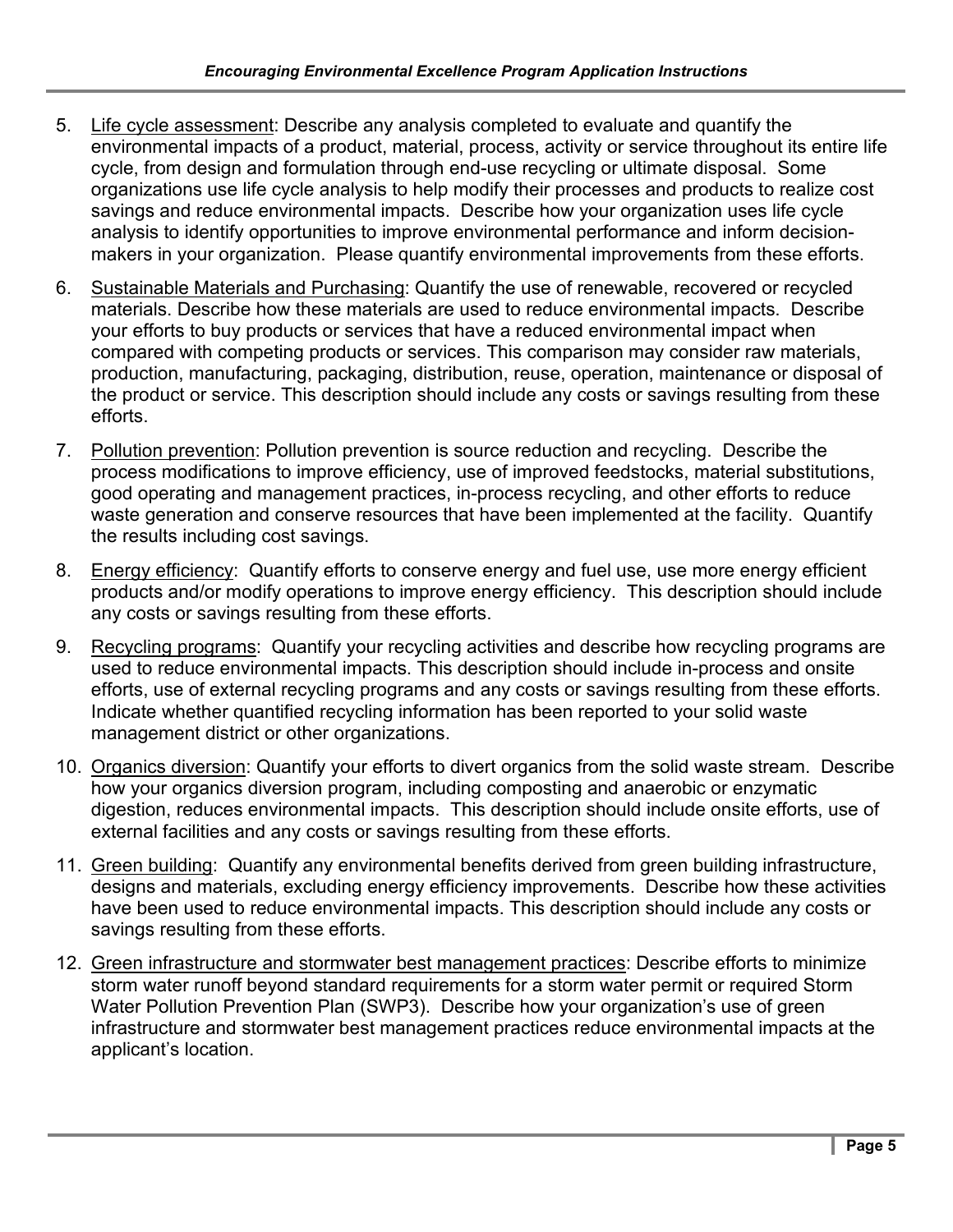- 5. Life cycle assessment: Describe any analysis completed to evaluate and quantify the environmental impacts of a product, material, process, activity or service throughout its entire life cycle, from design and formulation through end-use recycling or ultimate disposal. Some organizations use life cycle analysis to help modify their processes and products to realize cost savings and reduce environmental impacts. Describe how your organization uses life cycle analysis to identify opportunities to improve environmental performance and inform decisionmakers in your organization. Please quantify environmental improvements from these efforts.
- 6. Sustainable Materials and Purchasing: Quantify the use of renewable, recovered or recycled materials. Describe how these materials are used to reduce environmental impacts. Describe your efforts to buy products or services that have a reduced environmental impact when compared with competing products or services. This comparison may consider raw materials, production, manufacturing, packaging, distribution, reuse, operation, maintenance or disposal of the product or service. This description should include any costs or savings resulting from these efforts.
- 7. Pollution prevention: Pollution prevention is source reduction and recycling. Describe the process modifications to improve efficiency, use of improved feedstocks, material substitutions, good operating and management practices, in-process recycling, and other efforts to reduce waste generation and conserve resources that have been implemented at the facility. Quantify the results including cost savings.
- 8. Energy efficiency: Quantify efforts to conserve energy and fuel use, use more energy efficient products and/or modify operations to improve energy efficiency. This description should include any costs or savings resulting from these efforts.
- 9. Recycling programs: Quantify your recycling activities and describe how recycling programs are used to reduce environmental impacts. This description should include in-process and onsite efforts, use of external recycling programs and any costs or savings resulting from these efforts. Indicate whether quantified recycling information has been reported to your solid waste management district or other organizations.
- 10. Organics diversion: Quantify your efforts to divert organics from the solid waste stream. Describe how your organics diversion program, including composting and anaerobic or enzymatic digestion, reduces environmental impacts. This description should include onsite efforts, use of external facilities and any costs or savings resulting from these efforts.
- 11. Green building: Quantify any environmental benefits derived from green building infrastructure, designs and materials, excluding energy efficiency improvements. Describe how these activities have been used to reduce environmental impacts. This description should include any costs or savings resulting from these efforts.
- 12. Green infrastructure and stormwater best management practices: Describe efforts to minimize storm water runoff beyond standard requirements for a storm water permit or required Storm Water Pollution Prevention Plan (SWP3). Describe how your organization's use of green infrastructure and stormwater best management practices reduce environmental impacts at the applicant's location.